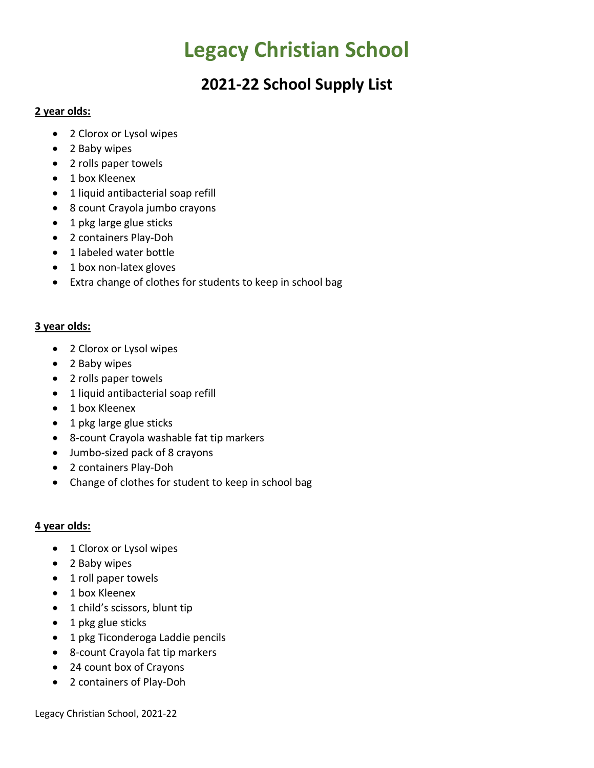# **Legacy Christian School**

## **2021-22 School Supply List**

#### **2 year olds:**

- 2 Clorox or Lysol wipes
- 2 Baby wipes
- 2 rolls paper towels
- 1 box Kleenex
- 1 liquid antibacterial soap refill
- 8 count Crayola jumbo crayons
- 1 pkg large glue sticks
- 2 containers Play-Doh
- 1 labeled water bottle
- 1 box non-latex gloves
- Extra change of clothes for students to keep in school bag

### **3 year olds:**

- 2 Clorox or Lysol wipes
- 2 Baby wipes
- 2 rolls paper towels
- 1 liquid antibacterial soap refill
- 1 box Kleenex
- 1 pkg large glue sticks
- 8-count Crayola washable fat tip markers
- Jumbo-sized pack of 8 crayons
- 2 containers Play-Doh
- Change of clothes for student to keep in school bag

#### **4 year olds:**

- 1 Clorox or Lysol wipes
- 2 Baby wipes
- 1 roll paper towels
- 1 box Kleenex
- 1 child's scissors, blunt tip
- 1 pkg glue sticks
- 1 pkg Ticonderoga Laddie pencils
- 8-count Crayola fat tip markers
- 24 count box of Crayons
- 2 containers of Play-Doh

Legacy Christian School, 2021-22